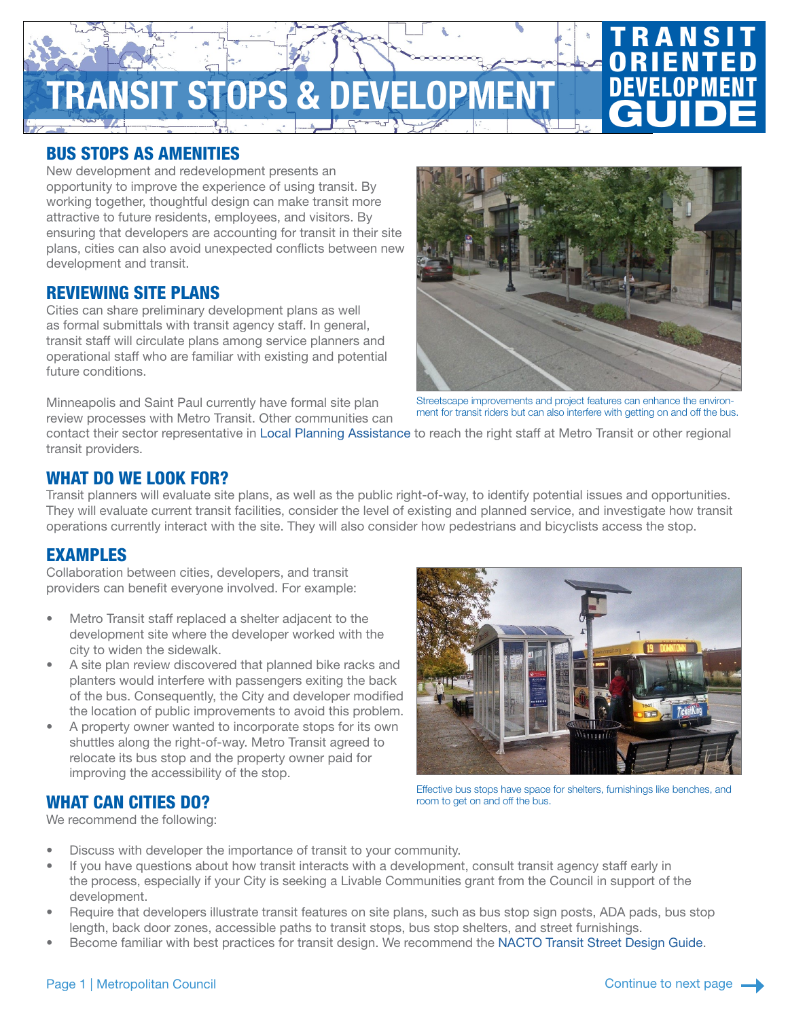# **RANSIT STOPS & DEVELOPM**

## BUS STOPS AS AMENITIES

New development and redevelopment presents an opportunity to improve the experience of using transit. By working together, thoughtful design can make transit more attractive to future residents, employees, and visitors. By ensuring that developers are accounting for transit in their site plans, cities can also avoid unexpected conflicts between new development and transit.

#### REVIEWING SITE PLANS

Cities can share preliminary development plans as well as formal submittals with transit agency staff. In general, transit staff will circulate plans among service planners and operational staff who are familiar with existing and potential future conditions.

Minneapolis and Saint Paul currently have formal site plan review processes with Metro Transit. Other communities can



**TRANSIT ORIENTED** 

DEVELOPMENT

**GUIDE** 

Streetscape improvements and project features can enhance the environment for transit riders but can also interfere with getting on and off the bus.

contact their sector representative in [Local Planning Assistance](https://metrocouncil.org/Communities/Planning/Local-Planning-Assistance/Sector-Reps.aspx?source=child) to reach the right staff at Metro Transit or other regional transit providers.

#### WHAT DO WE LOOK FOR?

Transit planners will evaluate site plans, as well as the public right-of-way, to identify potential issues and opportunities. They will evaluate current transit facilities, consider the level of existing and planned service, and investigate how transit operations currently interact with the site. They will also consider how pedestrians and bicyclists access the stop.

#### EXAMPLES

Collaboration between cities, developers, and transit providers can benefit everyone involved. For example:

- Metro Transit staff replaced a shelter adjacent to the development site where the developer worked with the city to widen the sidewalk.
- A site plan review discovered that planned bike racks and planters would interfere with passengers exiting the back of the bus. Consequently, the City and developer modified the location of public improvements to avoid this problem.
- A property owner wanted to incorporate stops for its own shuttles along the right-of-way. Metro Transit agreed to relocate its bus stop and the property owner paid for improving the accessibility of the stop.

Effective bus stops have space for shelters, furnishings like benches, and room to get on and off the bus.

## WHAT CAN CITIES DO?

We recommend the following:

- Discuss with developer the importance of transit to your community.
- If you have questions about how transit interacts with a development, consult transit agency staff early in the process, especially if your City is seeking a Livable Communities grant from the Council in support of the development.
- Require that developers illustrate transit features on site plans, such as bus stop sign posts, ADA pads, bus stop length, back door zones, accessible paths to transit stops, bus stop shelters, and street furnishings.
- Become familiar with best practices for transit design. We recommend the [NACTO Transit Street Design Guide](https://nacto.org/publication/transit-street-design-guide/).